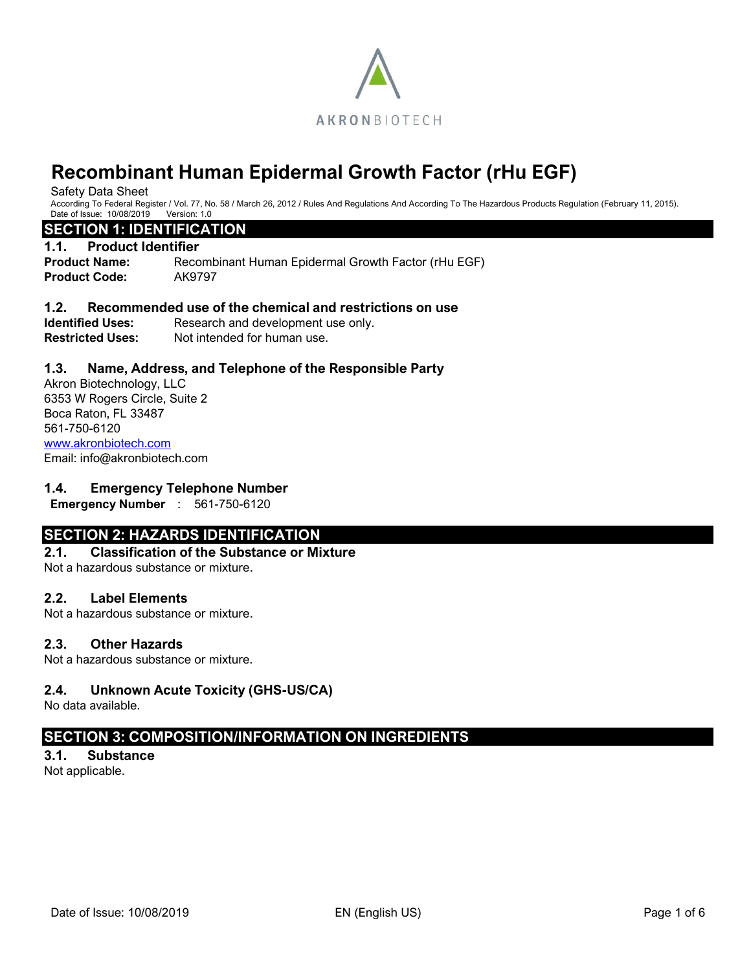

Safety Data Sheet

According To Federal Register / Vol. 77, No. 58 / March 26, 2012 / Rules And Regulations And According To The Hazardous Products Regulation (February 11, 2015).<br>Date of Issue: 10/08/2019 Version: 1.0 Date of Issue: 10/08/2019

## **SECTION 1: IDENTIFICATION**

#### **1.1. Product Identifier**

**Product Name:** Recombinant Human Epidermal Growth Factor (rHu EGF) **Product Code:** AK9797

#### **1.2. Recommended use of the chemical and restrictions on use**

**Identified Uses:** Research and development use only. **Restricted Uses:** Not intended for human use.

## **1.3. Name, Address, and Telephone of the Responsible Party**

Akron Biotechnology, LLC 6353 W Rogers Circle, Suite 2 Boca Raton, FL 33487 561-750-6120 [www.akronbiotech.com](http://www.akronbiotech.com/%3c/a) Email: info@akronbiotech.com

#### **1.4. Emergency Telephone Number**

**Emergency Number** : 561-750-6120

# **SECTION 2: HAZARDS IDENTIFICATION**

# **2.1. Classification of the Substance or Mixture**

Not a hazardous substance or mixture.

#### **2.2. Label Elements**

Not a hazardous substance or mixture.

#### **2.3. Other Hazards**

Not a hazardous substance or mixture.

## **2.4. Unknown Acute Toxicity (GHS-US/CA)**

No data available.

# **SECTION 3: COMPOSITION/INFORMATION ON INGREDIENTS**

## **3.1. Substance**

Not applicable.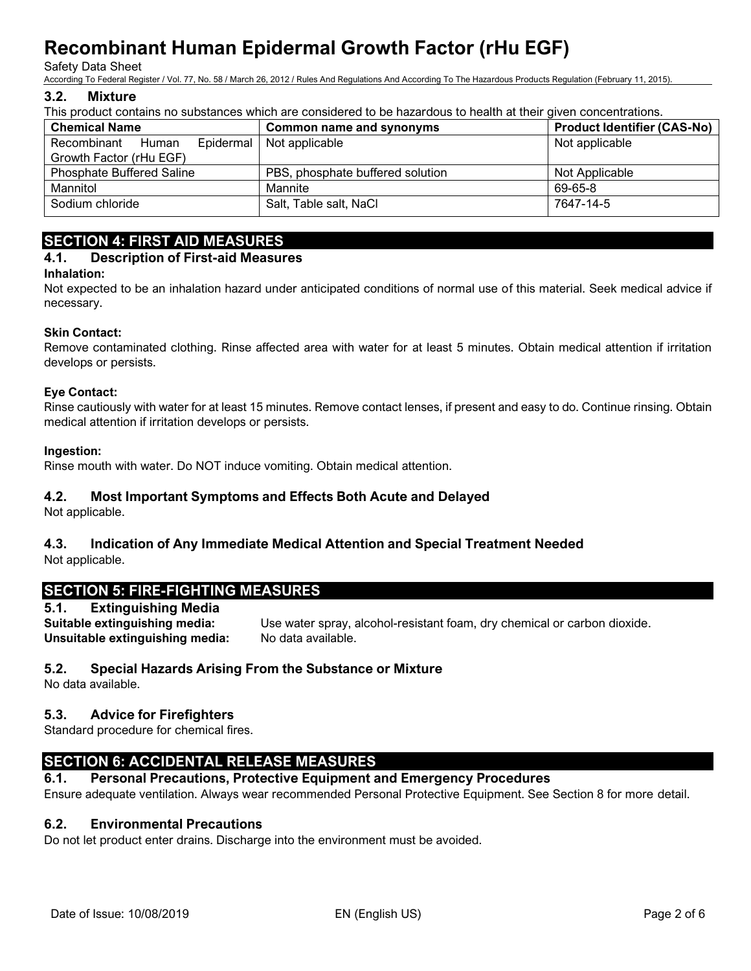#### Safety Data Sheet

According To Federal Register / Vol. 77, No. 58 / March 26, 2012 / Rules And Regulations And According To The Hazardous Products Regulation (February 11, 2015).

#### **3.2. Mixture**

This product contains no substances which are considered to be hazardous to health at their given concentrations.

| <b>Chemical Name</b>              | <b>Common name and synonyms</b>  | <b>Product Identifier (CAS-No)</b> |  |  |  |  |
|-----------------------------------|----------------------------------|------------------------------------|--|--|--|--|
| Recombinant<br>Human<br>Epidermal | Not applicable                   | Not applicable                     |  |  |  |  |
| Growth Factor (rHu EGF)           |                                  |                                    |  |  |  |  |
| <b>Phosphate Buffered Saline</b>  | PBS, phosphate buffered solution | Not Applicable                     |  |  |  |  |
| Mannitol                          | Mannite                          | 69-65-8                            |  |  |  |  |
| Sodium chloride                   | Salt, Table salt, NaCl           | 7647-14-5                          |  |  |  |  |

# **SECTION 4: FIRST AID MEASURES**

#### **4.1. Description of First-aid Measures**

#### **Inhalation:**

Not expected to be an inhalation hazard under anticipated conditions of normal use of this material. Seek medical advice if necessary.

#### **Skin Contact:**

Remove contaminated clothing. Rinse affected area with water for at least 5 minutes. Obtain medical attention if irritation develops or persists.

#### **Eye Contact:**

Rinse cautiously with water for at least 15 minutes. Remove contact lenses, if present and easy to do. Continue rinsing. Obtain medical attention if irritation develops or persists.

#### **Ingestion:**

Rinse mouth with water. Do NOT induce vomiting. Obtain medical attention.

## **4.2. Most Important Symptoms and Effects Both Acute and Delayed**

Not applicable.

# **4.3. Indication of Any Immediate Medical Attention and Special Treatment Needed**

Not applicable.

# **SECTION 5: FIRE-FIGHTING MEASURES**

## **5.1. Extinguishing Media**

**Unsuitable extinguishing media:** No data available.

**Suitable extinguishing media:** Use water spray, alcohol-resistant foam, dry chemical or carbon dioxide.

## **5.2. Special Hazards Arising From the Substance or Mixture**

No data available.

# **5.3. Advice for Firefighters**

Standard procedure for chemical fires.

# **SECTION 6: ACCIDENTAL RELEASE MEASURES**

## **6.1. Personal Precautions, Protective Equipment and Emergency Procedures**

Ensure adequate ventilation. Always wear recommended Personal Protective Equipment. See Section 8 for more detail.

## **6.2. Environmental Precautions**

Do not let product enter drains. Discharge into the environment must be avoided.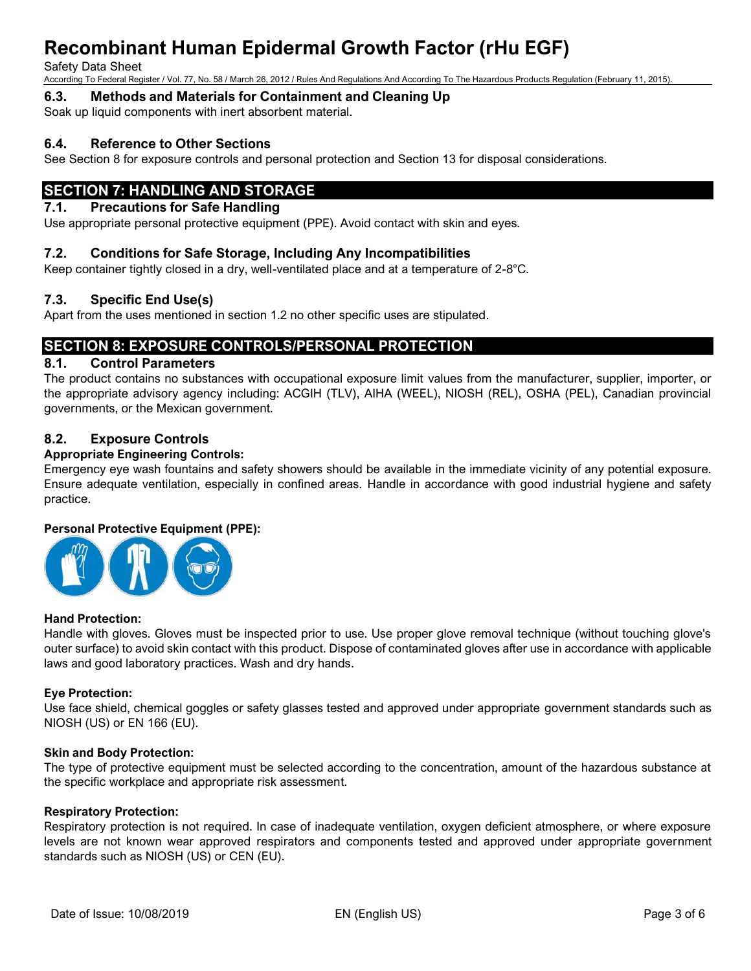Safety Data Sheet

According To Federal Register / Vol. 77, No. 58 / March 26, 2012 / Rules And Regulations And According To The Hazardous Products Regulation (February 11, 2015).

**6.3. Methods and Materials for Containment and Cleaning Up**

Soak up liquid components with inert absorbent material.

## **6.4. Reference to Other Sections**

See Section 8 for exposure controls and personal protection and Section 13 for disposal considerations.

# **SECTION 7: HANDLING AND STORAGE**

## **7.1. Precautions for Safe Handling**

Use appropriate personal protective equipment (PPE). Avoid contact with skin and eyes.

#### **7.2. Conditions for Safe Storage, Including Any Incompatibilities**

Keep container tightly closed in a dry, well-ventilated place and at a temperature of 2-8°C.

## **7.3. Specific End Use(s)**

Apart from the uses mentioned in section 1.2 no other specific uses are stipulated.

# **SECTION 8: EXPOSURE CONTROLS/PERSONAL PROTECTION**

## **8.1. Control Parameters**

The product contains no substances with occupational exposure limit values from the manufacturer, supplier, importer, or the appropriate advisory agency including: ACGIH (TLV), AIHA (WEEL), NIOSH (REL), OSHA (PEL), Canadian provincial governments, or the Mexican government.

## **8.2. Exposure Controls**

#### **Appropriate Engineering Controls:**

Emergency eye wash fountains and safety showers should be available in the immediate vicinity of any potential exposure. Ensure adequate ventilation, especially in confined areas. Handle in accordance with good industrial hygiene and safety practice.

#### **Personal Protective Equipment (PPE):**



#### **Hand Protection:**

Handle with gloves. Gloves must be inspected prior to use. Use proper glove removal technique (without touching glove's outer surface) to avoid skin contact with this product. Dispose of contaminated gloves after use in accordance with applicable laws and good laboratory practices. Wash and dry hands.

#### **Eye Protection:**

Use face shield, chemical goggles or safety glasses tested and approved under appropriate government standards such as NIOSH (US) or EN 166 (EU).

#### **Skin and Body Protection:**

The type of protective equipment must be selected according to the concentration, amount of the hazardous substance at the specific workplace and appropriate risk assessment.

#### **Respiratory Protection:**

Respiratory protection is not required. In case of inadequate ventilation, oxygen deficient atmosphere, or where exposure levels are not known wear approved respirators and components tested and approved under appropriate government standards such as NIOSH (US) or CEN (EU).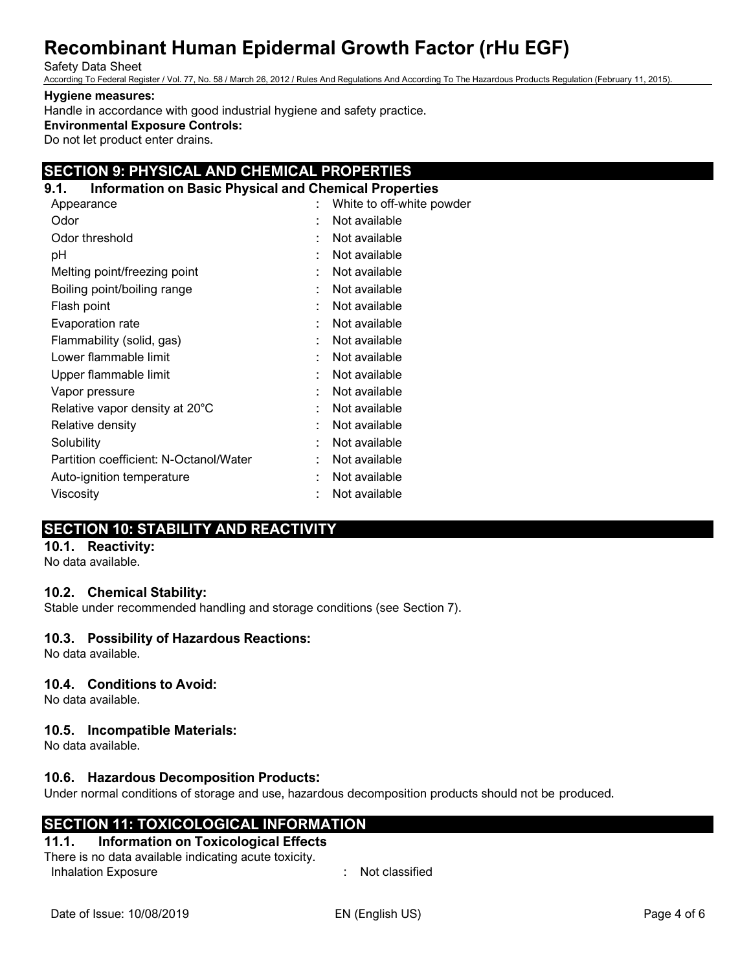#### Safety Data Sheet

According To Federal Register / Vol. 77, No. 58 / March 26, 2012 / Rules And Regulations And According To The Hazardous Products Regulation (February 11, 2015).

#### **Hygiene measures:**

Handle in accordance with good industrial hygiene and safety practice.

# **Environmental Exposure Controls:**

Do not let product enter drains.

# **SECTION 9: PHYSICAL AND CHEMICAL PROPERTIES**

| 9.1. | <b>Information on Basic Physical and Chemical Properties</b> |                           |
|------|--------------------------------------------------------------|---------------------------|
|      | Appearance                                                   | White to off-white powder |
| Odor |                                                              | Not available             |
|      | Odor threshold                                               | Not available             |
| рH   |                                                              | Not available             |
|      | Melting point/freezing point                                 | Not available             |
|      | Boiling point/boiling range                                  | Not available             |
|      | Flash point                                                  | Not available             |
|      | Evaporation rate                                             | Not available             |
|      | Flammability (solid, gas)                                    | Not available             |
|      | Lower flammable limit                                        | Not available             |
|      | Upper flammable limit                                        | Not available             |
|      | Vapor pressure                                               | Not available             |
|      | Relative vapor density at 20°C                               | Not available             |
|      | Relative density                                             | Not available             |
|      | Solubility                                                   | Not available             |
|      | Partition coefficient: N-Octanol/Water                       | Not available             |
|      | Auto-ignition temperature                                    | Not available             |
|      | Viscosity                                                    | Not available             |
|      |                                                              |                           |

# **SECTION 10: STABILITY AND REACTIVITY**

# **10.1. Reactivity:**

No data available.

# **10.2. Chemical Stability:**

Stable under recommended handling and storage conditions (see Section 7).

# **10.3. Possibility of Hazardous Reactions:**

No data available.

# **10.4. Conditions to Avoid:**

No data available.

# **10.5. Incompatible Materials:**

No data available.

# **10.6. Hazardous Decomposition Products:**

Under normal conditions of storage and use, hazardous decomposition products should not be produced.

# **SECTION 11: TOXICOLOGICAL INFORMATION**

# **11.1. Information on Toxicological Effects**

There is no data available indicating acute toxicity. Inhalation Exposure in the set of the set of the set of the set of the set of the set of the set of the set of the set of the set of the set of the set of the set of the set of the set of the set of the set of the set of t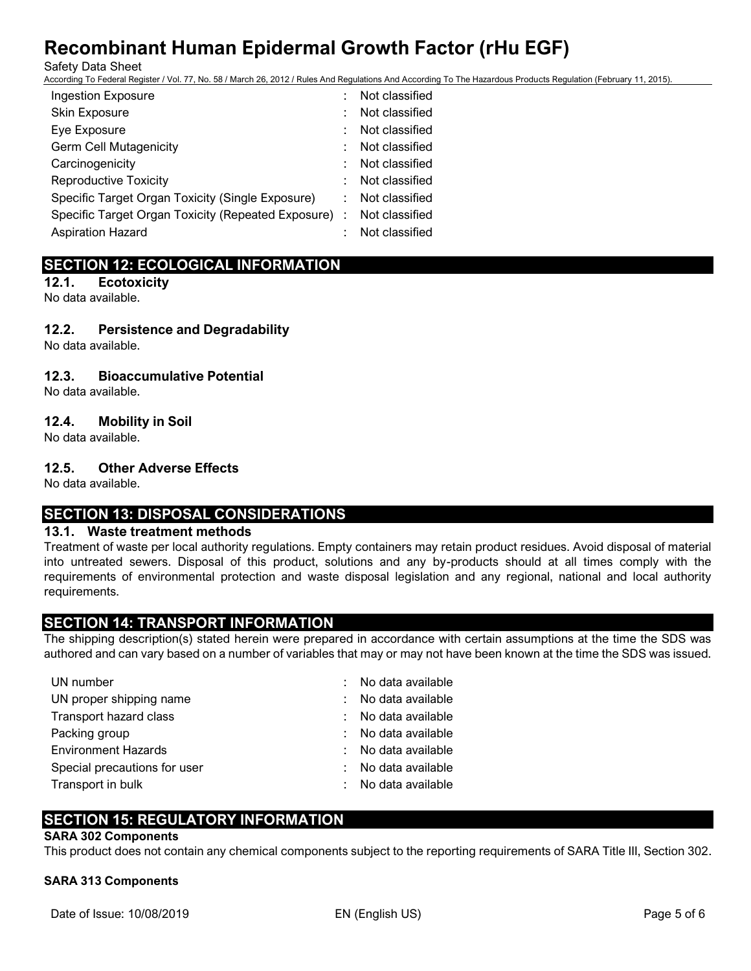Safety Data Sheet

According To Federal Register / Vol. 77, No. 58 / March 26, 2012 / Rules And Regulations And According To The Hazardous Products Regulation (February 11, 2015).

| <b>Ingestion Exposure</b>                            | Not classified |
|------------------------------------------------------|----------------|
| Skin Exposure                                        | Not classified |
| Eye Exposure                                         | Not classified |
| <b>Germ Cell Mutagenicity</b>                        | Not classified |
| Carcinogenicity                                      | Not classified |
| <b>Reproductive Toxicity</b>                         | Not classified |
| Specific Target Organ Toxicity (Single Exposure)     | Not classified |
| Specific Target Organ Toxicity (Repeated Exposure) : | Not classified |
| <b>Aspiration Hazard</b>                             | Not classified |
|                                                      |                |

# **SECTION 12: ECOLOGICAL INFORMATION**

**12.1. Ecotoxicity** No data available.

# **12.2. Persistence and Degradability**

No data available.

# **12.3. Bioaccumulative Potential**

No data available.

# **12.4. Mobility in Soil**

No data available.

# **12.5. Other Adverse Effects**

No data available.

# **SECTION 13: DISPOSAL CONSIDERATIONS**

## **13.1. Waste treatment methods**

Treatment of waste per local authority regulations. Empty containers may retain product residues. Avoid disposal of material into untreated sewers. Disposal of this product, solutions and any by-products should at all times comply with the requirements of environmental protection and waste disposal legislation and any regional, national and local authority requirements.

# **SECTION 14: TRANSPORT INFORMATION**

The shipping description(s) stated herein were prepared in accordance with certain assumptions at the time the SDS was authored and can vary based on a number of variables that may or may not have been known at the time the SDS was issued.

| UN number                    | ÷. | No data available |
|------------------------------|----|-------------------|
| UN proper shipping name      | ÷. | No data available |
| Transport hazard class       | ÷. | No data available |
| Packing group                |    | No data available |
| <b>Environment Hazards</b>   |    | No data available |
| Special precautions for user |    | No data available |
| Transport in bulk            |    | No data available |

# **SECTION 15: REGULATORY INFORMATION**

## **SARA 302 Components**

This product does not contain any chemical components subject to the reporting requirements of SARA Title III, Section 302.

## **SARA 313 Components**